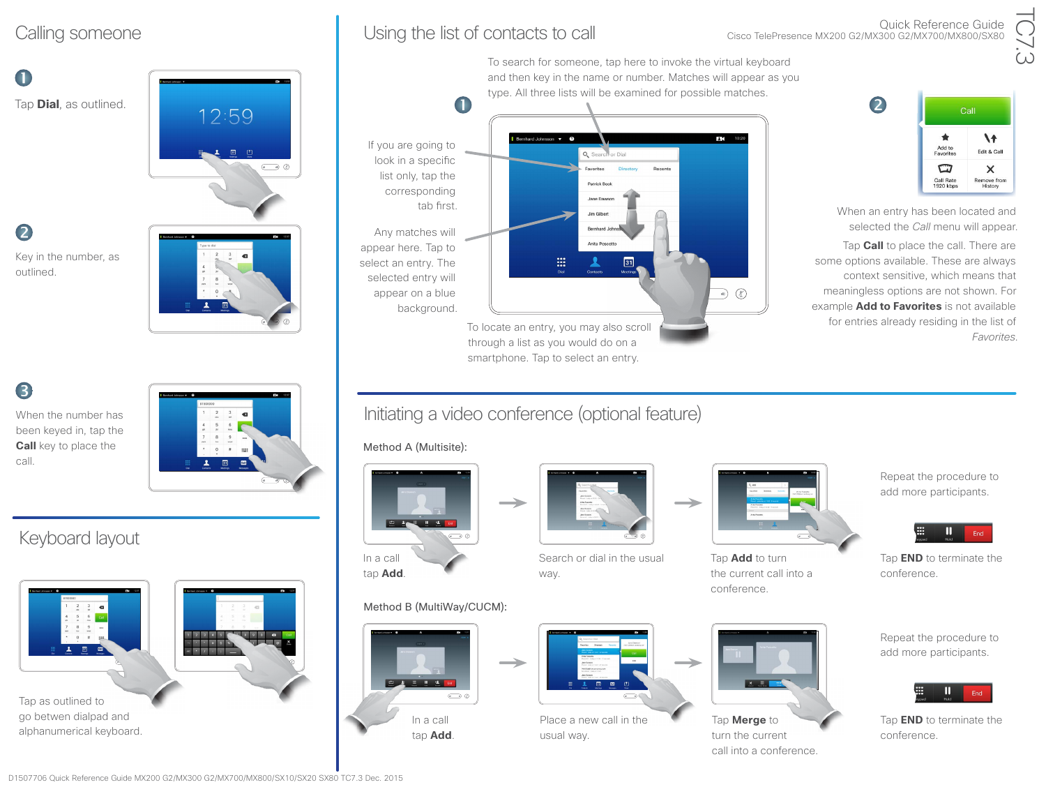# $\blacksquare$

Tap **Dial**, as outlined.

 $\bullet$ 

Key in the number, as outlined.

# B

When the number has been keyed in, tap the **Call** key to place the call.



12:59

 $\bigodot$ 

## Keyboard layout



go betwen dialpad and alphanumerical keyboard.

## Calling someone **Using the list of contacts to call**

Quick Reference Guide Cisco TelePresence MX200 G2/MX300 G2/MX700/MX800/SX80





## Initiating a video conference (optional feature)

Method A (Multisite):



## Method B (MultiWay/CUCM):





Search or dial in the usual way.



Place a new call in the usual way.



Tap **Add** to turn the current call into a conference.



Tap **Merge** to turn the current call into a conference. 2 Call  $\blacklozenge$  $\lambda$ Add to Edit & Call Favorites  $\mathbf \varpi$  $\times$ Remove from<br>History Call Rate<br>1920 kbps

When an entry has been located and selected the *Call* menu will appear.

Tap **Call** to place the call. There are some options available. These are always context sensitive, which means that meaningless options are not shown. For example **Add to Favorites** is not available for entries already residing in the list of *Favorites*.

> Repeat the procedure to add more participants.



Tap **END** to terminate the conference.

Repeat the procedure to add more participants.



Tap **END** to terminate the conference.